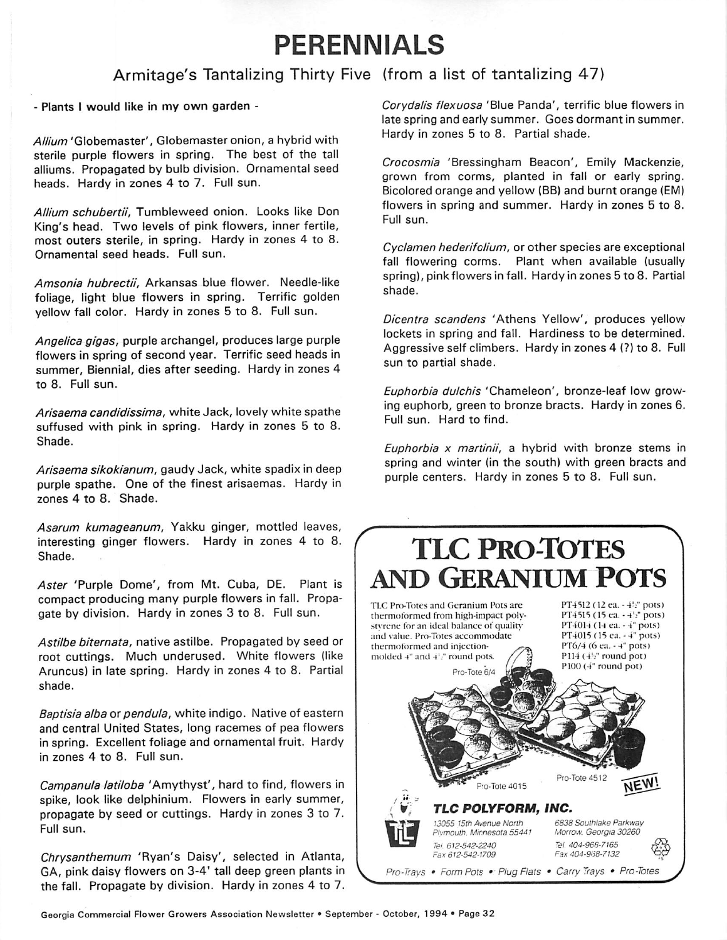## *PERENNIALS*

## Armitage's Tantalizing Thirty Five (from a list of tantalizing 47

- Plants I would like in my own garden -

**Allium** 'Globemaster', Globemaster onion, a hybrid with sterile purple flowers in spring. The best of the tall alliums. Propagated by bulb division. Ornamental seed heads. Hardy in zones 4 to 7. Full sun.

**Allium schubertii,** Tumbleweed onion. Looks like Don King's head. Two levels of pink flowers, inner fertile, most outers sterile, in spring. Hardy in zones 4 to 8. Ornamental seed heads. Full sun.

**Amsonia hubrectii,** Arkansas blue flower. Needle-like foliage, light blue flowers in spring. Terrific golden yellow fall color. Hardy in zones 5 to 8. Full sun.

**Angelica gigas,** purple archangel, produces large purple flowers in spring of second year. Terrific seed heads in summer, Biennial, dies after seeding. Hardy in zones 4 to 8. Full sun.

**Arisaema candidissima,** white Jack, lovely white spathe suffused with pink in spring. Hardy in zones 5 to 8. Shade.

**Arisaema sikokianum,** gaudy Jack, white spadix in deep purple spathe. One of the finest arisaemas. Hardy in zones 4 to 8. Shade.

**Asarum kumageanum,** Yakku ginger, mottled leaves, interesting ginger flowers. Hardy in zones 4 to 8. Shade.

**Aster** 'Purple Dome', from Mt. Cuba, DE. Plant is compact producing many purple flowers in fall. Propa gate by division. Hardy in zones 3 to 8. Full sun.

**Astilbe biternata,** native astilbe. Propagated by seed or root cuttings. Much underused. White flowers (like Aruncus) in late spring. Hardy in zones 4 to 8. Partial shade.

**Baptisia alba or pendula, white indigo. Native of eastern** and central United States, long racemes of pea flowers in spring. Excellent foliage and ornamental fruit. Hardy in zones <sup>4</sup> to 8. Full sun.

**Campanula latiloba** 'Amythyst', hard to find, flowers in spike, look like delphinium. Flowers in early summer, propagate by seed or cuttings. Hardy in zones 3 to 7. Full sun.

**Chrysanthemum** 'Ryan's Daisy', selected in Atlanta, GA, pink daisy flowers on 3-4' tall deep green plants in the fall. Propagate by division. Hardy in zones 4 to 7.

**Corydalis flexuosa** 'Blue Panda', terrific blue flowers in late spring and early summer. Goes dormant in summer. Hardy in zones 5 to 8. Partial shade.

**Crocosmia** 'Bressingham Beacon', Emily Mackenzie, grown from corms, planted in fall or early spring. Bicolored orange and yellow (BB) and burnt orange (EM) flowers in spring and summer. Hardy in zones 5 to 8. Full sun.

**Cyclamen hederifolium,** or other species are exceptional fall flowering corms. Plant when available (usually spring), pink flowers in fall. Hardy in zones 5 to 8. Partial shade.

**Dicentra scandens** 'Athens Yellow', produces yellow lockets in spring and fall. Hardiness to be determined. Aggressive self climbers. Hardy in zones 4 (?) to 8. Full sun to partial shade.

**Euphorbia dulchis** 'Chameleon', bronze-leaf low grow ing euphorb, green to bronze bracts. Hardy in zones 6. Full sun. Hard to find.

**Euphorbia x martinii,** a hybrid with bronze stems in spring and winter (in the south) with green bracts and purple centers. Hardy in zones 5 to 8. Full sun.